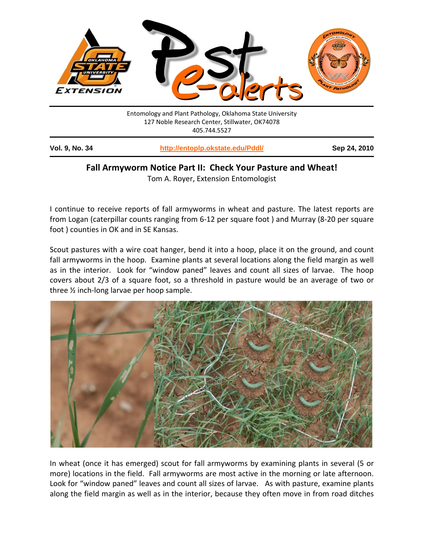

## **Fall Armyworm Notice Part II: Check Your Pasture and Wheat!**

Tom A. Royer, Extension Entomologist

I continue to receive reports of fall armyworms in wheat and pasture. The latest reports are from Logan (caterpillar counts ranging from 6‐12 per square foot ) and Murray (8‐20 per square foot ) counties in OK and in SE Kansas.

Scout pastures with a wire coat hanger, bend it into a hoop, place it on the ground, and count fall armyworms in the hoop. Examine plants at several locations along the field margin as well as in the interior. Look for "window paned" leaves and count all sizes of larvae. The hoop covers about 2/3 of a square foot, so a threshold in pasture would be an average of two or three ½ inch‐long larvae per hoop sample.



In wheat (once it has emerged) scout for fall armyworms by examining plants in several (5 or more) locations in the field. Fall armyworms are most active in the morning or late afternoon. Look for "window paned" leaves and count all sizes of larvae. As with pasture, examine plants along the field margin as well as in the interior, because they often move in from road ditches